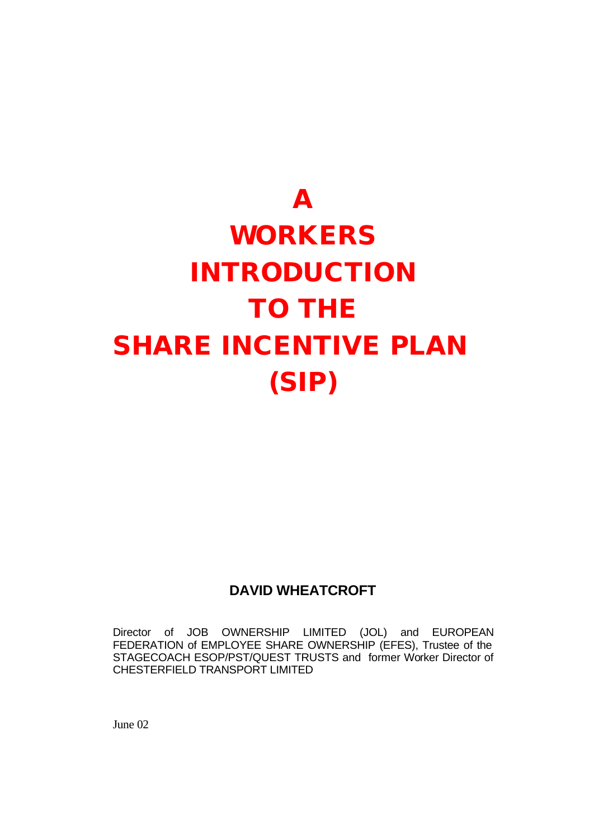# **A WORKERS INTRODUCTION TO THE SHARE INCENTIVE PLAN (SIP)**

# **DAVID WHEATCROFT**

Director of JOB OWNERSHIP LIMITED (JOL) and EUROPEAN FEDERATION of EMPLOYEE SHARE OWNERSHIP (EFES), Trustee of the STAGECOACH ESOP/PST/QUEST TRUSTS and former Worker Director of CHESTERFIELD TRANSPORT LIMITED

June 02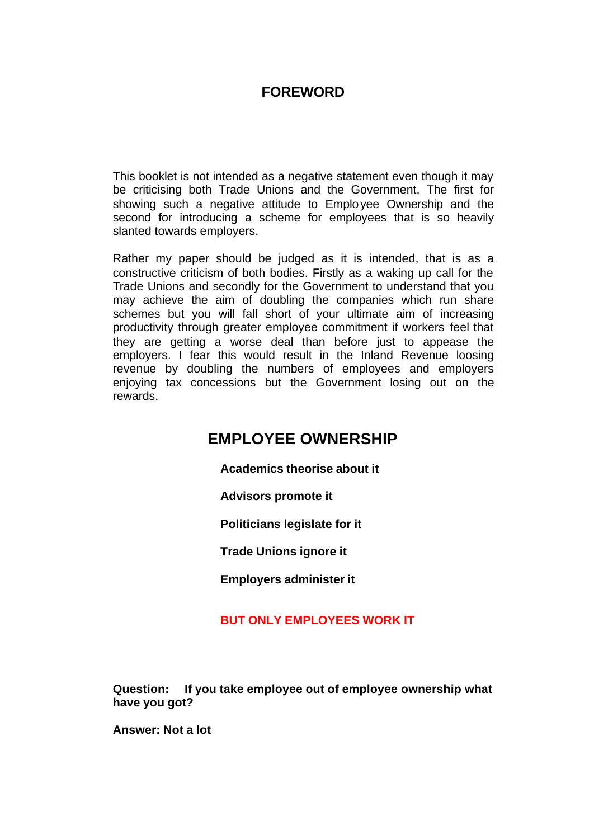# **FOREWORD**

This booklet is not intended as a negative statement even though it may be criticising both Trade Unions and the Government, The first for showing such a negative attitude to Employee Ownership and the second for introducing a scheme for employees that is so heavily slanted towards employers.

Rather my paper should be judged as it is intended, that is as a constructive criticism of both bodies. Firstly as a waking up call for the Trade Unions and secondly for the Government to understand that you may achieve the aim of doubling the companies which run share schemes but you will fall short of your ultimate aim of increasing productivity through greater employee commitment if workers feel that they are getting a worse deal than before just to appease the employers. I fear this would result in the Inland Revenue loosing revenue by doubling the numbers of employees and employers enjoying tax concessions but the Government losing out on the rewards.

# **EMPLOYEE OWNERSHIP**

**Academics theorise about it**

**Advisors promote it**

**Politicians legislate for it**

**Trade Unions ignore it**

**Employers administer it**

## **BUT ONLY EMPLOYEES WORK IT**

**Question: If you take employee out of employee ownership what have you got?**

**Answer: Not a lot**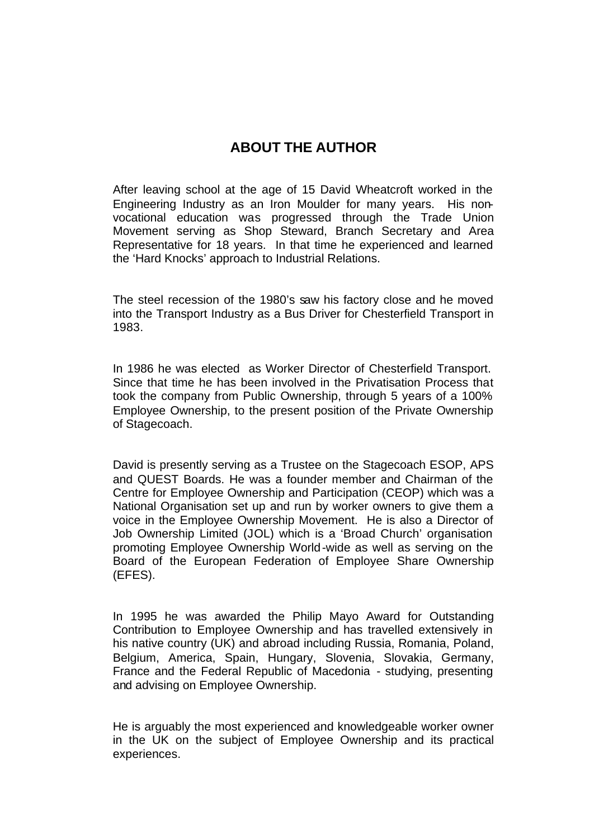# **ABOUT THE AUTHOR**

After leaving school at the age of 15 David Wheatcroft worked in the Engineering Industry as an Iron Moulder for many years. His nonvocational education was progressed through the Trade Union Movement serving as Shop Steward, Branch Secretary and Area Representative for 18 years. In that time he experienced and learned the 'Hard Knocks' approach to Industrial Relations.

The steel recession of the 1980's saw his factory close and he moved into the Transport Industry as a Bus Driver for Chesterfield Transport in 1983.

In 1986 he was elected as Worker Director of Chesterfield Transport. Since that time he has been involved in the Privatisation Process that took the company from Public Ownership, through 5 years of a 100% Employee Ownership, to the present position of the Private Ownership of Stagecoach.

David is presently serving as a Trustee on the Stagecoach ESOP, APS and QUEST Boards. He was a founder member and Chairman of the Centre for Employee Ownership and Participation (CEOP) which was a National Organisation set up and run by worker owners to give them a voice in the Employee Ownership Movement. He is also a Director of Job Ownership Limited (JOL) which is a 'Broad Church' organisation promoting Employee Ownership World-wide as well as serving on the Board of the European Federation of Employee Share Ownership (EFES).

In 1995 he was awarded the Philip Mayo Award for Outstanding Contribution to Employee Ownership and has travelled extensively in his native country (UK) and abroad including Russia, Romania, Poland, Belgium, America, Spain, Hungary, Slovenia, Slovakia, Germany, France and the Federal Republic of Macedonia - studying, presenting and advising on Employee Ownership.

He is arguably the most experienced and knowledgeable worker owner in the UK on the subject of Employee Ownership and its practical experiences.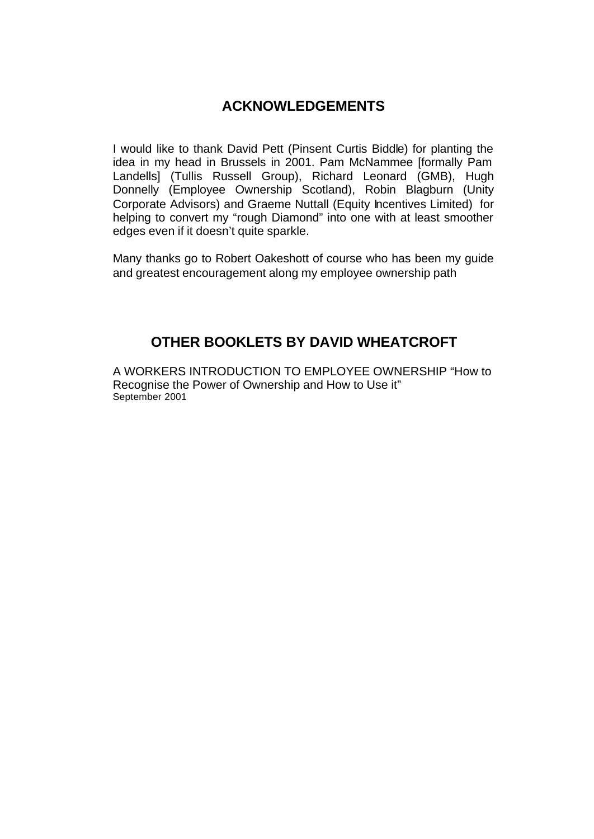## **ACKNOWLEDGEMENTS**

I would like to thank David Pett (Pinsent Curtis Biddle) for planting the idea in my head in Brussels in 2001. Pam McNammee [formally Pam Landells] (Tullis Russell Group), Richard Leonard (GMB), Hugh Donnelly (Employee Ownership Scotland), Robin Blagburn (Unity Corporate Advisors) and Graeme Nuttall (Equity Incentives Limited) for helping to convert my "rough Diamond" into one with at least smoother edges even if it doesn't quite sparkle.

Many thanks go to Robert Oakeshott of course who has been my guide and greatest encouragement along my employee ownership path

# **OTHER BOOKLETS BY DAVID WHEATCROFT**

A WORKERS INTRODUCTION TO EMPLOYEE OWNERSHIP "How to Recognise the Power of Ownership and How to Use it" September 2001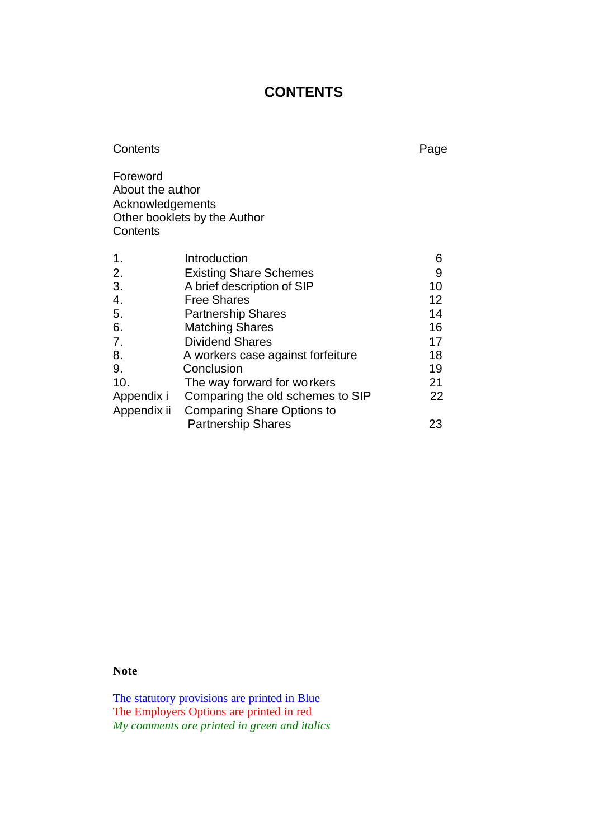# **CONTENTS**

| Contents                                                     |                                   | Page |
|--------------------------------------------------------------|-----------------------------------|------|
| Foreword<br>About the author<br>Acknowledgements<br>Contents | Other booklets by the Author      |      |
| 1.                                                           | Introduction                      | 6    |
| 2.                                                           | <b>Existing Share Schemes</b>     | 9    |
| 3.                                                           | A brief description of SIP        | 10   |
| 4.                                                           | <b>Free Shares</b>                | 12   |
| 5.                                                           | <b>Partnership Shares</b>         | 14   |
| 6.                                                           | <b>Matching Shares</b>            | 16   |
| 7.                                                           | <b>Dividend Shares</b>            | 17   |
| 8.                                                           | A workers case against forfeiture | 18   |
| 9.                                                           | Conclusion                        | 19   |
| 10.                                                          | The way forward for workers       | 21   |
| Appendix i                                                   | Comparing the old schemes to SIP  | 22   |
| Appendix ii                                                  | <b>Comparing Share Options to</b> |      |
|                                                              | <b>Partnership Shares</b>         | 23   |

**Note** 

The statutory provisions are printed in Blue The Employers Options are printed in red *My comments are printed in green and italics*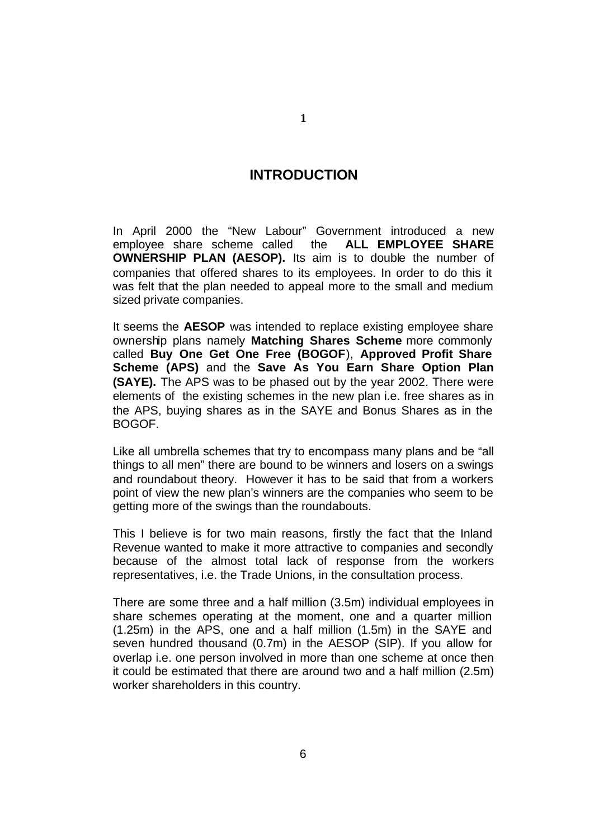## **INTRODUCTION**

In April 2000 the "New Labour" Government introduced a new employee share scheme called the **ALL EMPLOYEE SHARE OWNERSHIP PLAN (AESOP).** Its aim is to double the number of companies that offered shares to its employees. In order to do this it was felt that the plan needed to appeal more to the small and medium sized private companies.

It seems the **AESOP** was intended to replace existing employee share ownership plans namely **Matching Shares Scheme** more commonly called **Buy One Get One Free (BOGOF**), **Approved Profit Share Scheme (APS)** and the **Save As You Earn Share Option Plan (SAYE).** The APS was to be phased out by the year 2002. There were elements of the existing schemes in the new plan i.e. free shares as in the APS, buying shares as in the SAYE and Bonus Shares as in the BOGOF.

Like all umbrella schemes that try to encompass many plans and be "all things to all men" there are bound to be winners and losers on a swings and roundabout theory. However it has to be said that from a workers point of view the new plan's winners are the companies who seem to be getting more of the swings than the roundabouts.

This I believe is for two main reasons, firstly the fact that the Inland Revenue wanted to make it more attractive to companies and secondly because of the almost total lack of response from the workers representatives, i.e. the Trade Unions, in the consultation process.

There are some three and a half million (3.5m) individual employees in share schemes operating at the moment, one and a quarter million (1.25m) in the APS, one and a half million (1.5m) in the SAYE and seven hundred thousand (0.7m) in the AESOP (SIP). If you allow for overlap i.e. one person involved in more than one scheme at once then it could be estimated that there are around two and a half million (2.5m) worker shareholders in this country.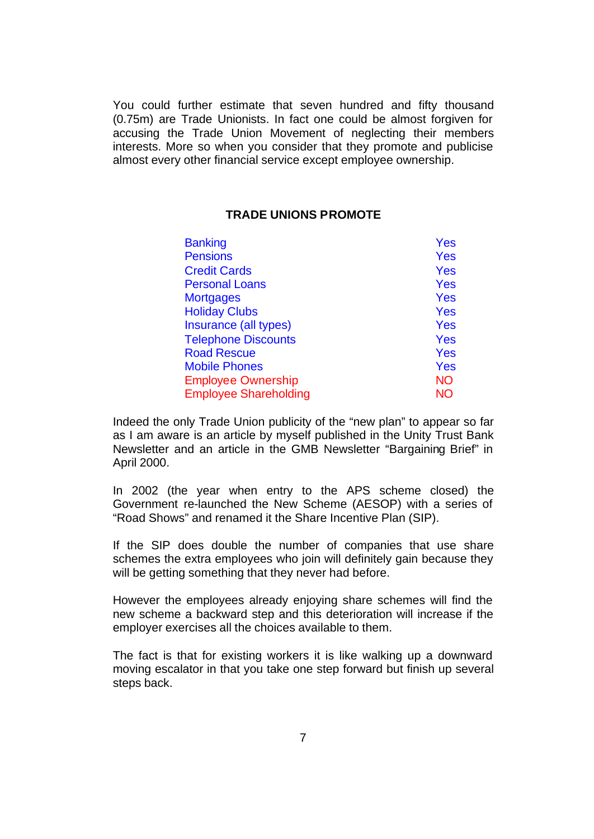You could further estimate that seven hundred and fifty thousand (0.75m) are Trade Unionists. In fact one could be almost forgiven for accusing the Trade Union Movement of neglecting their members interests. More so when you consider that they promote and publicise almost every other financial service except employee ownership.

#### **TRADE UNIONS PROMOTE**

| <b>Banking</b>               | Yes        |
|------------------------------|------------|
| <b>Pensions</b>              | Yes        |
| <b>Credit Cards</b>          | Yes        |
| <b>Personal Loans</b>        | Yes        |
| <b>Mortgages</b>             | Yes        |
| <b>Holiday Clubs</b>         | <b>Yes</b> |
| Insurance (all types)        | Yes        |
| <b>Telephone Discounts</b>   | Yes        |
| <b>Road Rescue</b>           | <b>Yes</b> |
| <b>Mobile Phones</b>         | <b>Yes</b> |
| <b>Employee Ownership</b>    | <b>NO</b>  |
| <b>Employee Shareholding</b> | <b>NO</b>  |

Indeed the only Trade Union publicity of the "new plan" to appear so far as I am aware is an article by myself published in the Unity Trust Bank Newsletter and an article in the GMB Newsletter "Bargaining Brief" in April 2000.

In 2002 (the year when entry to the APS scheme closed) the Government re-launched the New Scheme (AESOP) with a series of "Road Shows" and renamed it the Share Incentive Plan (SIP).

If the SIP does double the number of companies that use share schemes the extra employees who join will definitely gain because they will be getting something that they never had before.

However the employees already enjoying share schemes will find the new scheme a backward step and this deterioration will increase if the employer exercises all the choices available to them.

The fact is that for existing workers it is like walking up a downward moving escalator in that you take one step forward but finish up several steps back.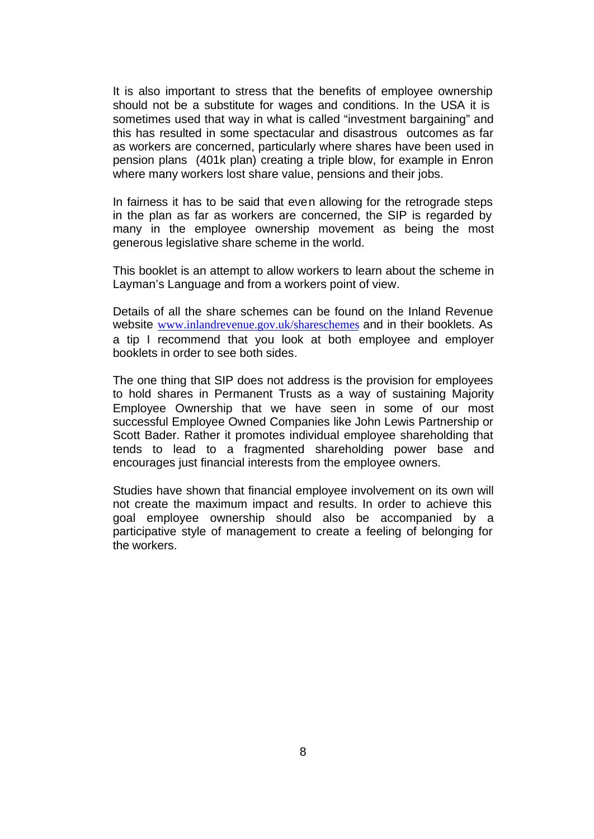It is also important to stress that the benefits of employee ownership should not be a substitute for wages and conditions. In the USA it is sometimes used that way in what is called "investment bargaining" and this has resulted in some spectacular and disastrous outcomes as far as workers are concerned, particularly where shares have been used in pension plans (401k plan) creating a triple blow, for example in Enron where many workers lost share value, pensions and their jobs.

In fairness it has to be said that even allowing for the retrograde steps in the plan as far as workers are concerned, the SIP is regarded by many in the employee ownership movement as being the most generous legislative share scheme in the world.

This booklet is an attempt to allow workers to learn about the scheme in Layman's Language and from a workers point of view.

Details of all the share schemes can be found on the Inland Revenue website www.inlandrevenue.gov.uk/shareschemes and in their booklets. As a tip I recommend that you look at both employee and employer booklets in order to see both sides.

The one thing that SIP does not address is the provision for employees to hold shares in Permanent Trusts as a way of sustaining Majority Employee Ownership that we have seen in some of our most successful Employee Owned Companies like John Lewis Partnership or Scott Bader. Rather it promotes individual employee shareholding that tends to lead to a fragmented shareholding power base and encourages just financial interests from the employee owners.

Studies have shown that financial employee involvement on its own will not create the maximum impact and results. In order to achieve this goal employee ownership should also be accompanied by a participative style of management to create a feeling of belonging for the workers.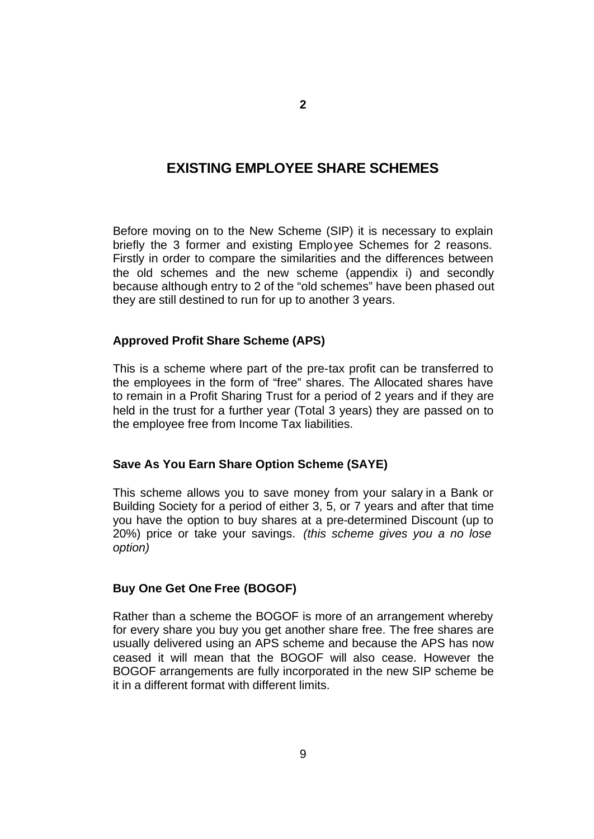## **EXISTING EMPLOYEE SHARE SCHEMES**

Before moving on to the New Scheme (SIP) it is necessary to explain briefly the 3 former and existing Employee Schemes for 2 reasons. Firstly in order to compare the similarities and the differences between the old schemes and the new scheme (appendix i) and secondly because although entry to 2 of the "old schemes" have been phased out they are still destined to run for up to another 3 years.

#### **Approved Profit Share Scheme (APS)**

This is a scheme where part of the pre-tax profit can be transferred to the employees in the form of "free" shares. The Allocated shares have to remain in a Profit Sharing Trust for a period of 2 years and if they are held in the trust for a further year (Total 3 years) they are passed on to the employee free from Income Tax liabilities.

#### **Save As You Earn Share Option Scheme (SAYE)**

This scheme allows you to save money from your salary in a Bank or Building Society for a period of either 3, 5, or 7 years and after that time you have the option to buy shares at a pre-determined Discount (up to 20%) price or take your savings. *(this scheme gives you a no lose option)*

#### **Buy One Get One Free (BOGOF)**

Rather than a scheme the BOGOF is more of an arrangement whereby for every share you buy you get another share free. The free shares are usually delivered using an APS scheme and because the APS has now ceased it will mean that the BOGOF will also cease. However the BOGOF arrangements are fully incorporated in the new SIP scheme be it in a different format with different limits.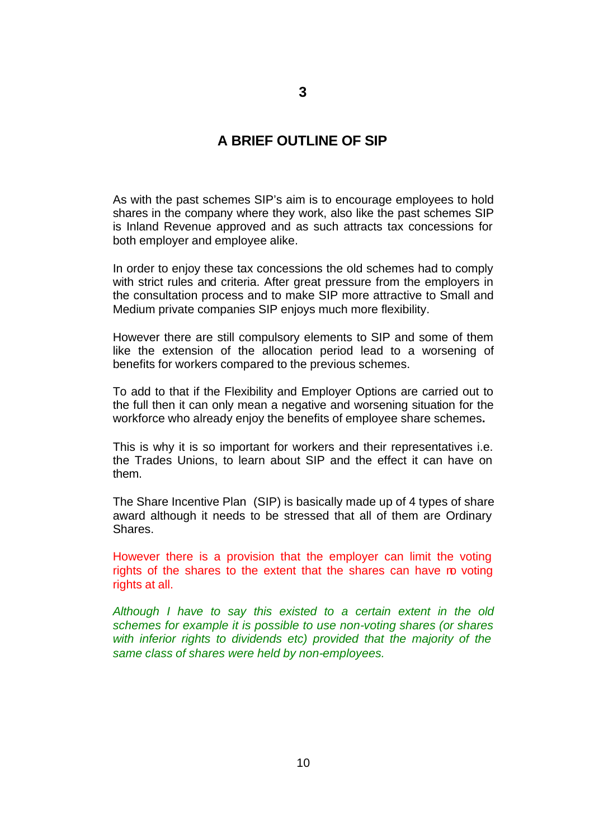## **A BRIEF OUTLINE OF SIP**

As with the past schemes SIP's aim is to encourage employees to hold shares in the company where they work, also like the past schemes SIP is Inland Revenue approved and as such attracts tax concessions for both employer and employee alike.

In order to enjoy these tax concessions the old schemes had to comply with strict rules and criteria. After great pressure from the employers in the consultation process and to make SIP more attractive to Small and Medium private companies SIP enjoys much more flexibility.

However there are still compulsory elements to SIP and some of them like the extension of the allocation period lead to a worsening of benefits for workers compared to the previous schemes.

To add to that if the Flexibility and Employer Options are carried out to the full then it can only mean a negative and worsening situation for the workforce who already enjoy the benefits of employee share schemes**.** 

This is why it is so important for workers and their representatives i.e. the Trades Unions, to learn about SIP and the effect it can have on them.

The Share Incentive Plan (SIP) is basically made up of 4 types of share award although it needs to be stressed that all of them are Ordinary Shares.

However there is a provision that the employer can limit the voting rights of the shares to the extent that the shares can have ro voting rights at all.

*Although I have to say this existed to a certain extent in the old schemes for example it is possible to use non-voting shares (or shares with inferior rights to dividends etc) provided that the majority of the same class of shares were held by non-employees.*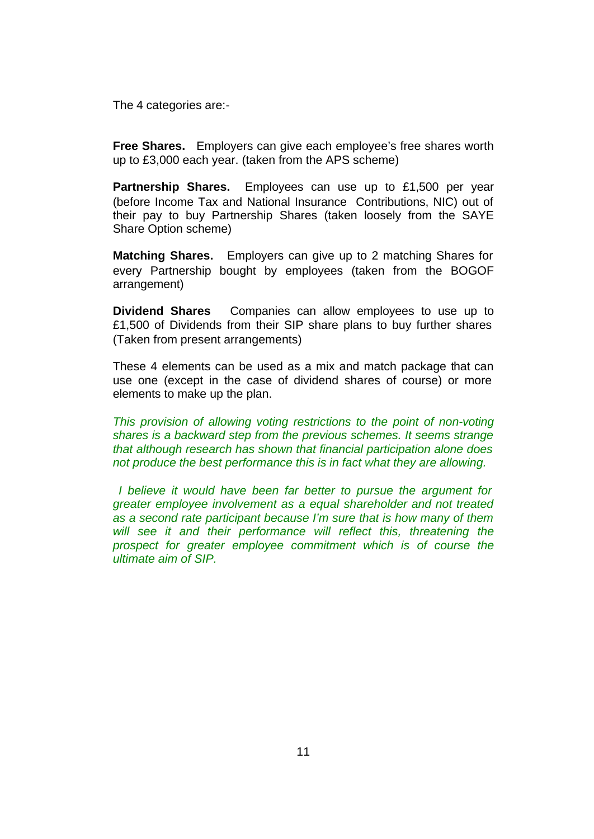The 4 categories are:-

**Free Shares.** Employers can give each employee's free shares worth up to £3,000 each year. (taken from the APS scheme)

**Partnership Shares.** Employees can use up to £1,500 per year (before Income Tax and National Insurance Contributions, NIC) out of their pay to buy Partnership Shares (taken loosely from the SAYE Share Option scheme)

**Matching Shares.** Employers can give up to 2 matching Shares for every Partnership bought by employees (taken from the BOGOF arrangement)

**Dividend Shares** Companies can allow employees to use up to £1,500 of Dividends from their SIP share plans to buy further shares (Taken from present arrangements)

These 4 elements can be used as a mix and match package that can use one (except in the case of dividend shares of course) or more elements to make up the plan.

*This provision of allowing voting restrictions to the point of non-voting shares is a backward step from the previous schemes. It seems strange that although research has shown that financial participation alone does not produce the best performance this is in fact what they are allowing.*

 *I believe it would have been far better to pursue the argument for greater employee involvement as a equal shareholder and not treated as a second rate participant because I'm sure that is how many of them will see it and their performance will reflect this, threatening the prospect for greater employee commitment which is of course the ultimate aim of SIP.*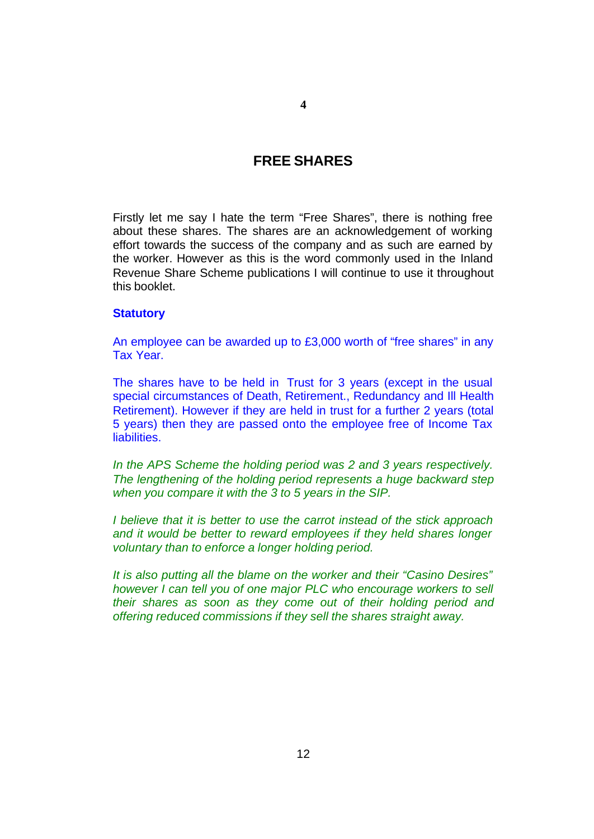## **FREE SHARES**

Firstly let me say I hate the term "Free Shares", there is nothing free about these shares. The shares are an acknowledgement of working effort towards the success of the company and as such are earned by the worker. However as this is the word commonly used in the Inland Revenue Share Scheme publications I will continue to use it throughout this booklet.

#### **Statutory**

An employee can be awarded up to £3,000 worth of "free shares" in any Tax Year.

The shares have to be held in Trust for 3 years (except in the usual special circumstances of Death, Retirement., Redundancy and Ill Health Retirement). However if they are held in trust for a further 2 years (total 5 years) then they are passed onto the employee free of Income Tax liabilities.

*In the APS Scheme the holding period was 2 and 3 years respectively. The lengthening of the holding period represents a huge backward step when you compare it with the 3 to 5 years in the SIP.* 

*I believe that it is better to use the carrot instead of the stick approach and it would be better to reward employees if they held shares longer voluntary than to enforce a longer holding period.*

*It is also putting all the blame on the worker and their "Casino Desires" however I can tell you of one major PLC who encourage workers to sell their shares as soon as they come out of their holding period and offering reduced commissions if they sell the shares straight away.*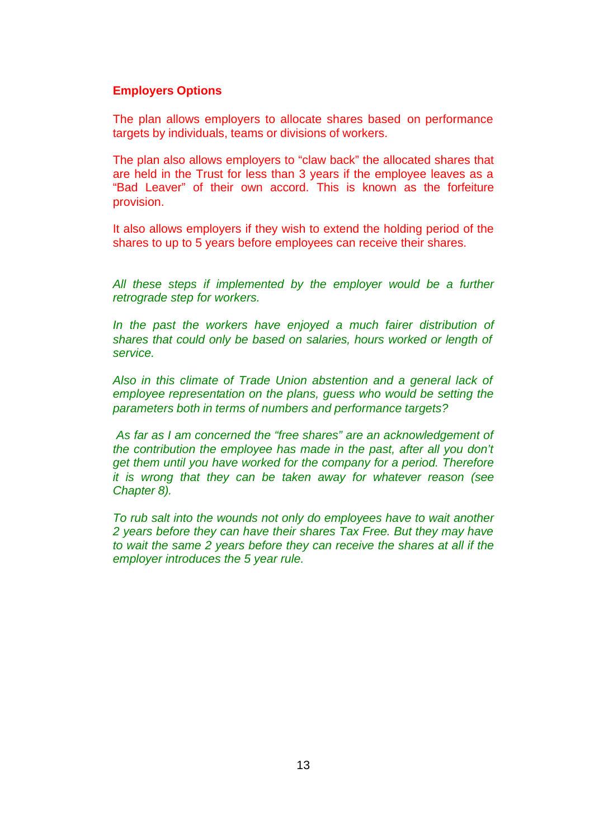#### **Employers Options**

The plan allows employers to allocate shares based on performance targets by individuals, teams or divisions of workers.

The plan also allows employers to "claw back" the allocated shares that are held in the Trust for less than 3 years if the employee leaves as a "Bad Leaver" of their own accord. This is known as the forfeiture provision.

It also allows employers if they wish to extend the holding period of the shares to up to 5 years before employees can receive their shares.

*All these steps if implemented by the employer would be a further retrograde step for workers.*

*In the past the workers have enjoyed a much fairer distribution of shares that could only be based on salaries, hours worked or length of service.*

*Also in this climate of Trade Union abstention and a general lack of employee representation on the plans, guess who would be setting the parameters both in terms of numbers and performance targets?*

 *As far as I am concerned the "free shares" are an acknowledgement of the contribution the employee has made in the past, after all you don't get them until you have worked for the company for a period. Therefore it is wrong that they can be taken away for whatever reason (see Chapter 8).*

*To rub salt into the wounds not only do employees have to wait another 2 years before they can have their shares Tax Free. But they may have to wait the same 2 years before they can receive the shares at all if the employer introduces the 5 year rule.*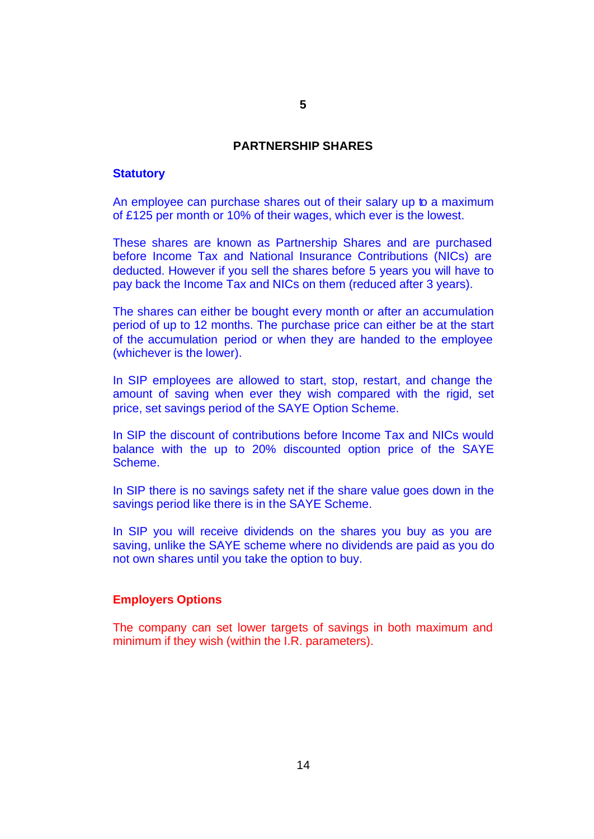#### **PARTNERSHIP SHARES**

#### **Statutory**

An employee can purchase shares out of their salary up to a maximum of £125 per month or 10% of their wages, which ever is the lowest.

These shares are known as Partnership Shares and are purchased before Income Tax and National Insurance Contributions (NICs) are deducted. However if you sell the shares before 5 years you will have to pay back the Income Tax and NICs on them (reduced after 3 years).

The shares can either be bought every month or after an accumulation period of up to 12 months. The purchase price can either be at the start of the accumulation period or when they are handed to the employee (whichever is the lower).

In SIP employees are allowed to start, stop, restart, and change the amount of saving when ever they wish compared with the rigid, set price, set savings period of the SAYE Option Scheme.

In SIP the discount of contributions before Income Tax and NICs would balance with the up to 20% discounted option price of the SAYE Scheme.

In SIP there is no savings safety net if the share value goes down in the savings period like there is in the SAYE Scheme.

In SIP you will receive dividends on the shares you buy as you are saving, unlike the SAYE scheme where no dividends are paid as you do not own shares until you take the option to buy.

#### **Employers Options**

The company can set lower targets of savings in both maximum and minimum if they wish (within the I.R. parameters).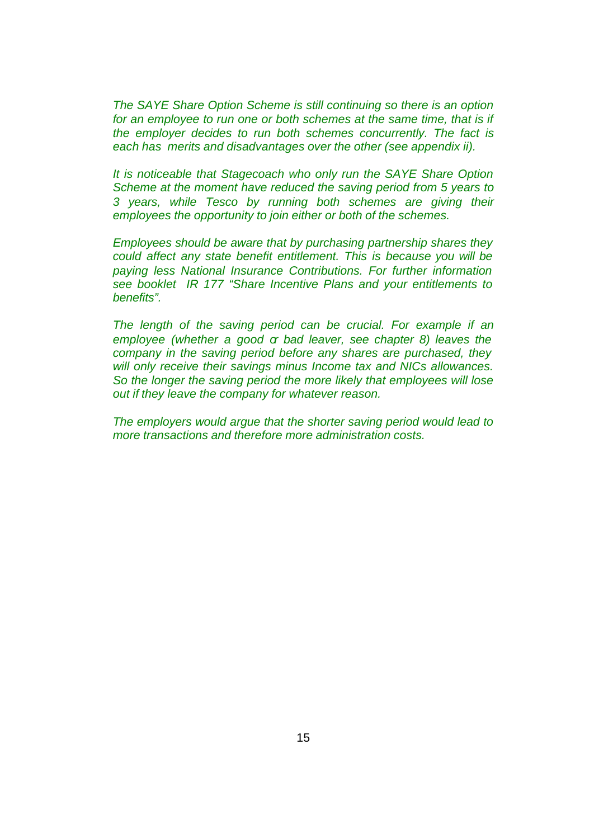*The SAYE Share Option Scheme is still continuing so there is an option*  for an employee to run one or both schemes at the same time, that is if *the employer decides to run both schemes concurrently. The fact is each has merits and disadvantages over the other (see appendix ii).*

*It is noticeable that Stagecoach who only run the SAYE Share Option Scheme at the moment have reduced the saving period from 5 years to 3 years, while Tesco by running both schemes are giving their employees the opportunity to join either or both of the schemes.*

*Employees should be aware that by purchasing partnership shares they could affect any state benefit entitlement. This is because you will be paying less National Insurance Contributions. For further information see booklet IR 177 "Share Incentive Plans and your entitlements to benefits".*

*The length of the saving period can be crucial. For example if an employee (whether a good or bad leaver, see chapter 8) leaves the company in the saving period before any shares are purchased, they will only receive their savings minus Income tax and NICs allowances. So the longer the saving period the more likely that employees will lose out if they leave the company for whatever reason.*

*The employers would argue that the shorter saving period would lead to more transactions and therefore more administration costs.*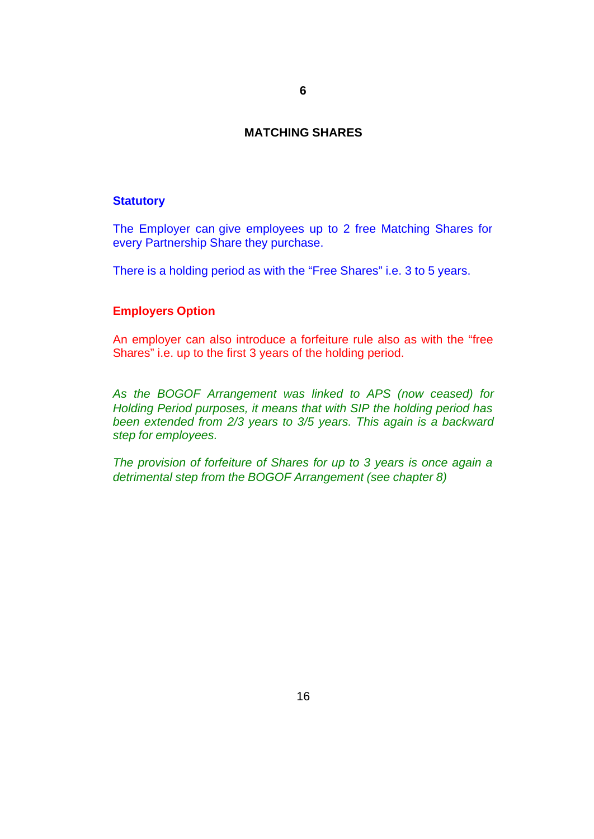#### **MATCHING SHARES**

#### **Statutory**

The Employer can give employees up to 2 free Matching Shares for every Partnership Share they purchase.

There is a holding period as with the "Free Shares" i.e. 3 to 5 years.

#### **Employers Option**

An employer can also introduce a forfeiture rule also as with the "free Shares" i.e. up to the first 3 years of the holding period.

*As the BOGOF Arrangement was linked to APS (now ceased) for Holding Period purposes, it means that with SIP the holding period has been extended from 2/3 years to 3/5 years. This again is a backward step for employees.*

*The provision of forfeiture of Shares for up to 3 years is once again a detrimental step from the BOGOF Arrangement (see chapter 8)*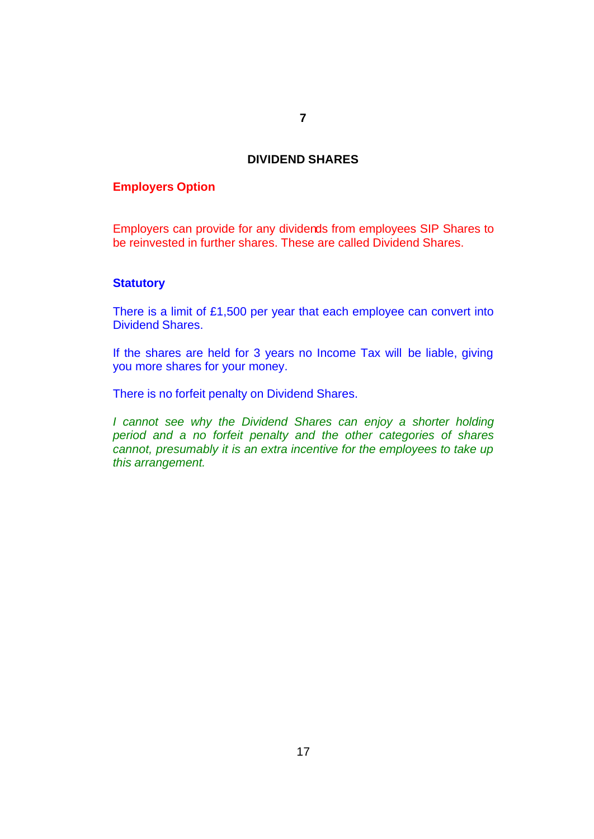#### **DIVIDEND SHARES**

#### **Employers Option**

Employers can provide for any dividends from employees SIP Shares to be reinvested in further shares. These are called Dividend Shares.

#### **Statutory**

There is a limit of £1,500 per year that each employee can convert into Dividend Shares.

If the shares are held for 3 years no Income Tax will be liable, giving you more shares for your money.

There is no forfeit penalty on Dividend Shares.

*I cannot see why the Dividend Shares can enjoy a shorter holding period and a no forfeit penalty and the other categories of shares cannot, presumably it is an extra incentive for the employees to take up this arrangement.*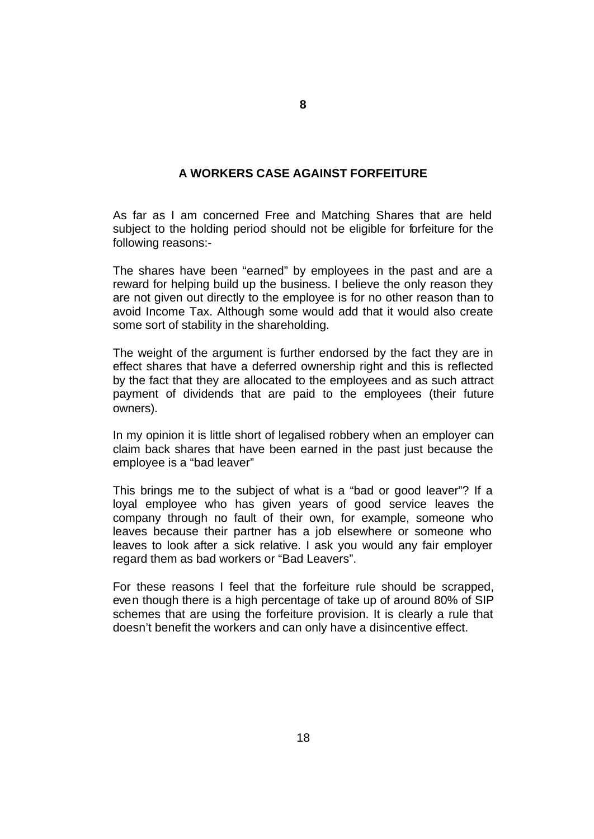### **A WORKERS CASE AGAINST FORFEITURE**

As far as I am concerned Free and Matching Shares that are held subject to the holding period should not be eligible for forfeiture for the following reasons:-

The shares have been "earned" by employees in the past and are a reward for helping build up the business. I believe the only reason they are not given out directly to the employee is for no other reason than to avoid Income Tax. Although some would add that it would also create some sort of stability in the shareholding.

The weight of the argument is further endorsed by the fact they are in effect shares that have a deferred ownership right and this is reflected by the fact that they are allocated to the employees and as such attract payment of dividends that are paid to the employees (their future owners).

In my opinion it is little short of legalised robbery when an employer can claim back shares that have been earned in the past just because the employee is a "bad leaver"

This brings me to the subject of what is a "bad or good leaver"? If a loyal employee who has given years of good service leaves the company through no fault of their own, for example, someone who leaves because their partner has a job elsewhere or someone who leaves to look after a sick relative. I ask you would any fair employer regard them as bad workers or "Bad Leavers".

For these reasons I feel that the forfeiture rule should be scrapped, even though there is a high percentage of take up of around 80% of SIP schemes that are using the forfeiture provision. It is clearly a rule that doesn't benefit the workers and can only have a disincentive effect.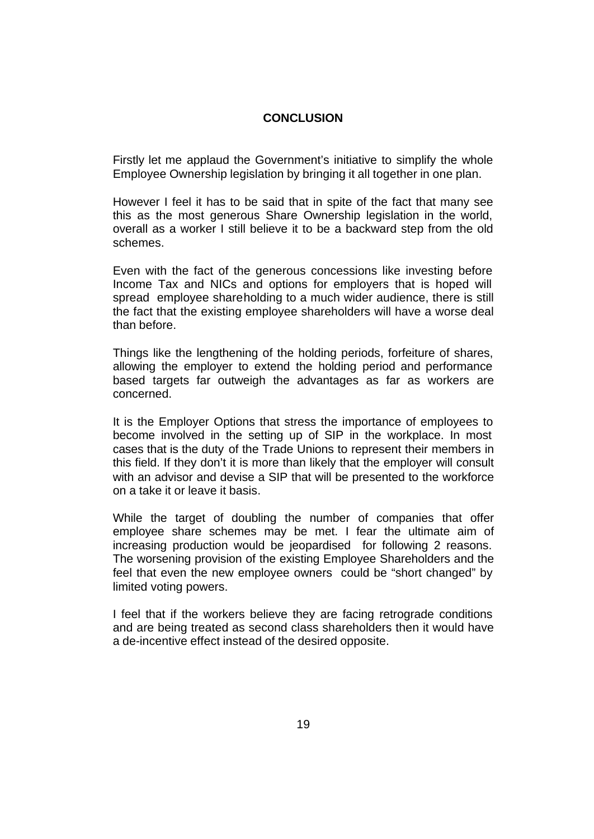#### **CONCLUSION**

Firstly let me applaud the Government's initiative to simplify the whole Employee Ownership legislation by bringing it all together in one plan.

However I feel it has to be said that in spite of the fact that many see this as the most generous Share Ownership legislation in the world, overall as a worker I still believe it to be a backward step from the old schemes.

Even with the fact of the generous concessions like investing before Income Tax and NICs and options for employers that is hoped will spread employee shareholding to a much wider audience, there is still the fact that the existing employee shareholders will have a worse deal than before.

Things like the lengthening of the holding periods, forfeiture of shares, allowing the employer to extend the holding period and performance based targets far outweigh the advantages as far as workers are concerned.

It is the Employer Options that stress the importance of employees to become involved in the setting up of SIP in the workplace. In most cases that is the duty of the Trade Unions to represent their members in this field. If they don't it is more than likely that the employer will consult with an advisor and devise a SIP that will be presented to the workforce on a take it or leave it basis.

While the target of doubling the number of companies that offer employee share schemes may be met. I fear the ultimate aim of increasing production would be jeopardised for following 2 reasons. The worsening provision of the existing Employee Shareholders and the feel that even the new employee owners could be "short changed" by limited voting powers.

I feel that if the workers believe they are facing retrograde conditions and are being treated as second class shareholders then it would have a de-incentive effect instead of the desired opposite.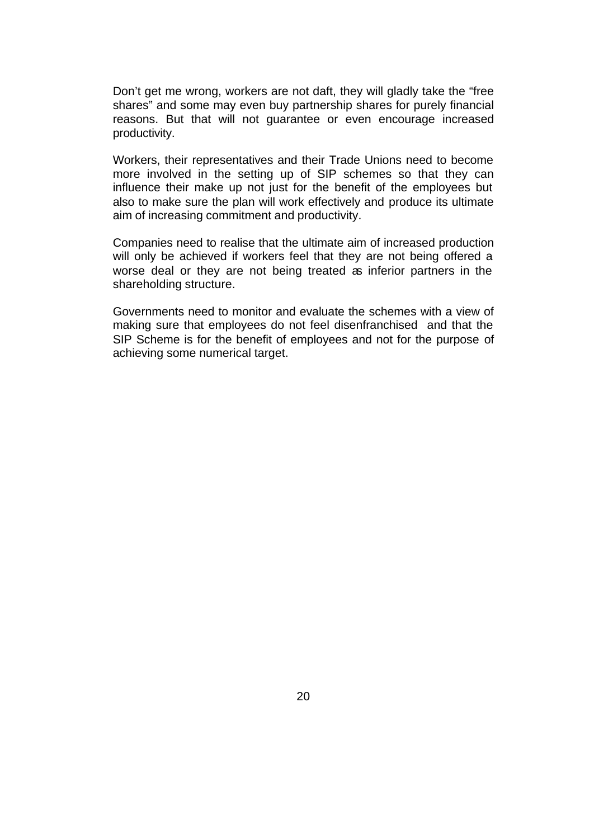Don't get me wrong, workers are not daft, they will gladly take the "free shares" and some may even buy partnership shares for purely financial reasons. But that will not guarantee or even encourage increased productivity.

Workers, their representatives and their Trade Unions need to become more involved in the setting up of SIP schemes so that they can influence their make up not just for the benefit of the employees but also to make sure the plan will work effectively and produce its ultimate aim of increasing commitment and productivity.

Companies need to realise that the ultimate aim of increased production will only be achieved if workers feel that they are not being offered a worse deal or they are not being treated as inferior partners in the shareholding structure.

Governments need to monitor and evaluate the schemes with a view of making sure that employees do not feel disenfranchised and that the SIP Scheme is for the benefit of employees and not for the purpose of achieving some numerical target.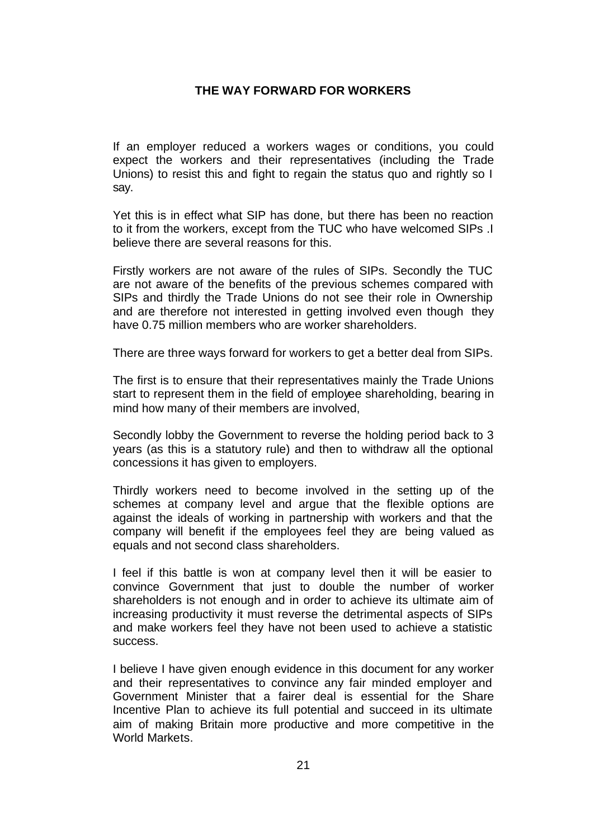#### **THE WAY FORWARD FOR WORKERS**

If an employer reduced a workers wages or conditions, you could expect the workers and their representatives (including the Trade Unions) to resist this and fight to regain the status quo and rightly so I say.

Yet this is in effect what SIP has done, but there has been no reaction to it from the workers, except from the TUC who have welcomed SIPs .I believe there are several reasons for this.

Firstly workers are not aware of the rules of SIPs. Secondly the TUC are not aware of the benefits of the previous schemes compared with SIPs and thirdly the Trade Unions do not see their role in Ownership and are therefore not interested in getting involved even though they have 0.75 million members who are worker shareholders.

There are three ways forward for workers to get a better deal from SIPs.

The first is to ensure that their representatives mainly the Trade Unions start to represent them in the field of employee shareholding, bearing in mind how many of their members are involved,

Secondly lobby the Government to reverse the holding period back to 3 years (as this is a statutory rule) and then to withdraw all the optional concessions it has given to employers.

Thirdly workers need to become involved in the setting up of the schemes at company level and argue that the flexible options are against the ideals of working in partnership with workers and that the company will benefit if the employees feel they are being valued as equals and not second class shareholders.

I feel if this battle is won at company level then it will be easier to convince Government that just to double the number of worker shareholders is not enough and in order to achieve its ultimate aim of increasing productivity it must reverse the detrimental aspects of SIPs and make workers feel they have not been used to achieve a statistic success.

I believe I have given enough evidence in this document for any worker and their representatives to convince any fair minded employer and Government Minister that a fairer deal is essential for the Share Incentive Plan to achieve its full potential and succeed in its ultimate aim of making Britain more productive and more competitive in the World Markets.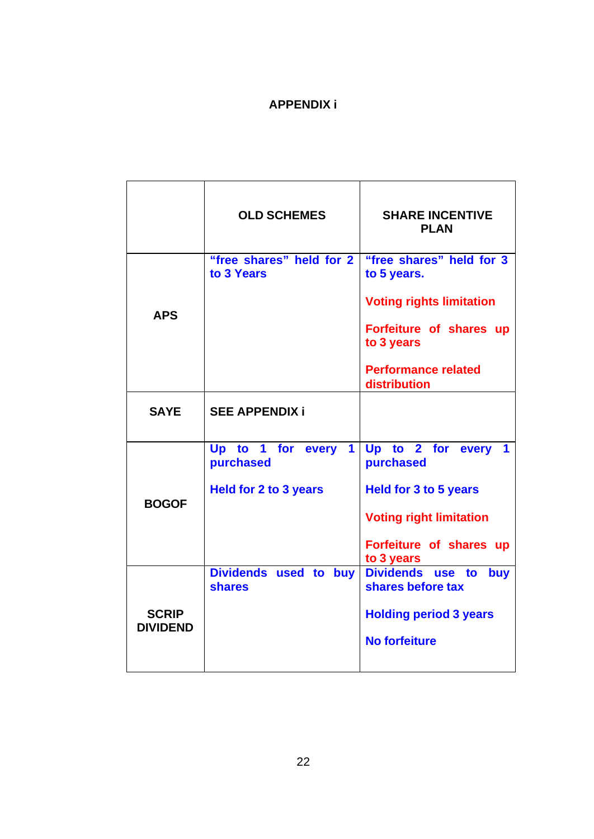## **APPENDIX i**

|                                 | <b>OLD SCHEMES</b>                                     | <b>SHARE INCENTIVE</b><br><b>PLAN</b>        |
|---------------------------------|--------------------------------------------------------|----------------------------------------------|
| <b>APS</b>                      | "free shares" held for 2<br>to 3 Years                 | "free shares" held for 3<br>to 5 years.      |
|                                 |                                                        | <b>Voting rights limitation</b>              |
|                                 |                                                        | Forfeiture of shares up<br>to 3 years        |
|                                 |                                                        | <b>Performance related</b><br>distribution   |
| <b>SAYE</b>                     | <b>SEE APPENDIX i</b>                                  |                                              |
| <b>BOGOF</b>                    | Up to 1 for every<br>$\blacktriangleleft$<br>purchased | Up to 2 for every<br>purchased               |
|                                 | <b>Held for 2 to 3 years</b>                           | <b>Held for 3 to 5 years</b>                 |
|                                 |                                                        | <b>Voting right limitation</b>               |
|                                 |                                                        | Forfeiture of shares up<br>to 3 years        |
| <b>SCRIP</b><br><b>DIVIDEND</b> | Dividends used to buy<br><b>shares</b>                 | Dividends use to<br>buy<br>shares before tax |
|                                 |                                                        | <b>Holding period 3 years</b>                |
|                                 |                                                        | <b>No forfeiture</b>                         |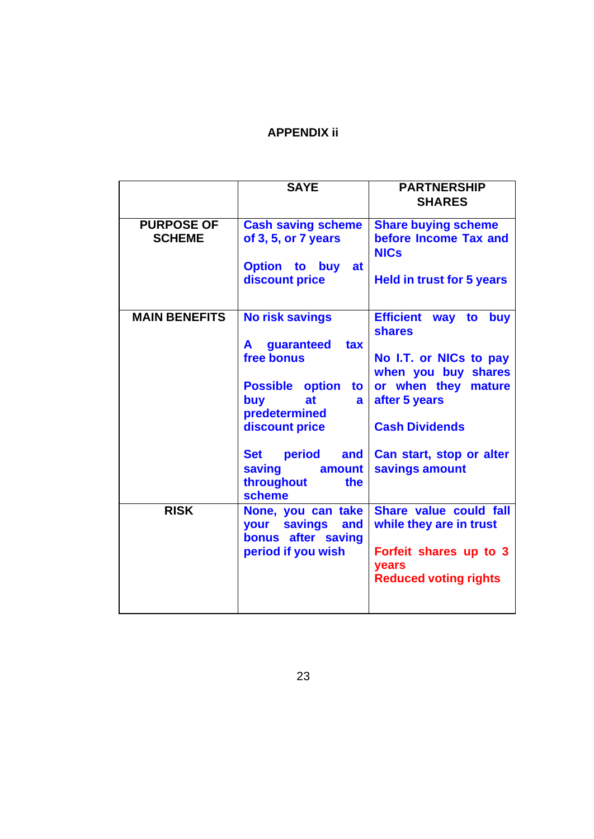## **APPENDIX ii**

| <b>SAYE</b>                                                                    | <b>PARTNERSHIP</b><br><b>SHARES</b>                                                                   |
|--------------------------------------------------------------------------------|-------------------------------------------------------------------------------------------------------|
|                                                                                |                                                                                                       |
| of 3, 5, or 7 years                                                            | <b>Share buying scheme</b><br>before Income Tax and<br><b>NICs</b>                                    |
| <b>Option to buy</b><br>at<br>discount price                                   | <b>Held in trust for 5 years</b>                                                                      |
| <b>No risk savings</b>                                                         | <b>Efficient way</b><br>to<br><b>buy</b><br><b>shares</b>                                             |
| free bonus                                                                     | No I.T. or NICs to pay<br>when you buy shares                                                         |
| <b>Possible option</b><br>to<br>buy<br>at<br>a                                 | or when they<br>mature<br>after 5 years                                                               |
| discount price                                                                 | <b>Cash Dividends</b>                                                                                 |
| period<br><b>Set</b><br>and<br>saving<br>amount<br>throughout<br>the<br>scheme | Can start, stop or alter<br>savings amount                                                            |
| None, you can take<br>your savings<br>and                                      | Share value could fall<br>while they are in trust                                                     |
| period if you wish                                                             | Forfeit shares up to 3<br>years<br><b>Reduced voting rights</b>                                       |
|                                                                                | <b>Cash saving scheme</b><br>guaranteed<br>$\mathsf{A}$<br>tax<br>predetermined<br>bonus after saving |

23